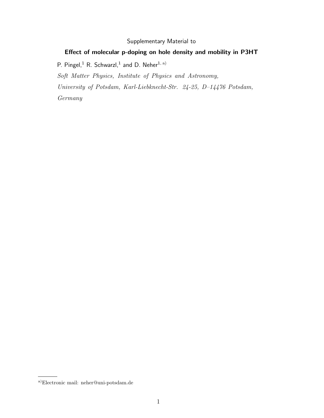## Supplementary Material to

## Effect of molecular p-doping on hole density and mobility in P3HT

P. Pingel,<sup>1</sup> R. Schwarzl,<sup>1</sup> and D. Neher<sup>1, a)</sup>

Soft Matter Physics, Institute of Physics and Astronomy,

University of Potsdam, Karl-Liebknecht-Str. 24-25, D–14476 Potsdam,

Germany

a)Electronic mail: neher@uni-potsdam.de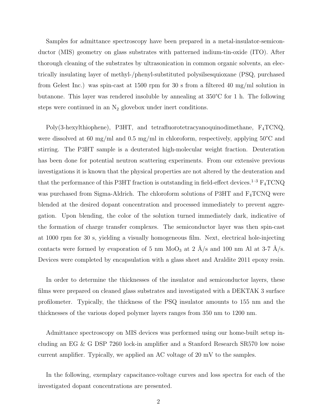Samples for admittance spectroscopy have been prepared in a metal-insulator-semiconductor (MIS) geometry on glass substrates with patterned indium-tin-oxide (ITO). After thorough cleaning of the substrates by ultrasonication in common organic solvents, an electrically insulating layer of methyl-/phenyl-substituted polysilsesquioxane (PSQ, purchased from Gelest Inc.) was spin-cast at 1500 rpm for 30 s from a filtered 40 mg/ml solution in butanone. This layer was rendered insoluble by annealing at 350°C for 1 h. The following steps were continued in an  $N_2$  glovebox under inert conditions.

Poly(3-hexylthiophene), P3HT, and tetrafluorotetracyanoquinodimethane,  $F_4TCNQ$ , were dissolved at 60 mg/ml and 0.5 mg/ml in chloroform, respectively, applying 50°C and stirring. The P3HT sample is a deuterated high-molecular weight fraction. Deuteration has been done for potential neutron scattering experiments. From our extensive previous investigations it is known that the physical properties are not altered by the deuteration and that the performance of this P3HT fraction is outstanding in field-effect devices.<sup>1-3</sup>  $F_4TCNQ$ was purchased from Sigma-Aldrich. The chloroform solutions of P3HT and  $F_4TCNQ$  were blended at the desired dopant concentration and processed immediately to prevent aggregation. Upon blending, the color of the solution turned immediately dark, indicative of the formation of charge transfer complexes. The semiconductor layer was then spin-cast at 1000 rpm for 30 s, yielding a visually homogeneous film. Next, electrical hole-injecting contacts were formed by evaporation of 5 nm MoO<sub>3</sub> at 2 Å/s and 100 nm Al at 3-7 Å/s. Devices were completed by encapsulation with a glass sheet and Araldite 2011 epoxy resin.

In order to determine the thicknesses of the insulator and semiconductor layers, these films were prepared on cleaned glass substrates and investigated with a DEKTAK 3 surface profilometer. Typically, the thickness of the PSQ insulator amounts to 155 nm and the thicknesses of the various doped polymer layers ranges from 350 nm to 1200 nm.

Admittance spectroscopy on MIS devices was performed using our home-built setup including an EG & G DSP 7260 lock-in amplifier and a Stanford Research SR570 low noise current amplifier. Typically, we applied an AC voltage of 20 mV to the samples.

In the following, exemplary capacitance-voltage curves and loss spectra for each of the investigated dopant concentrations are presented.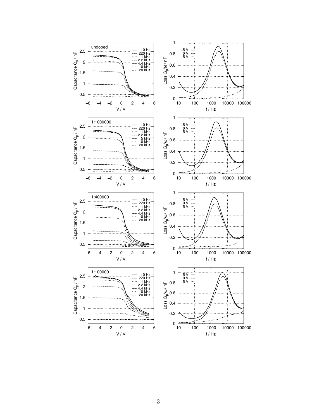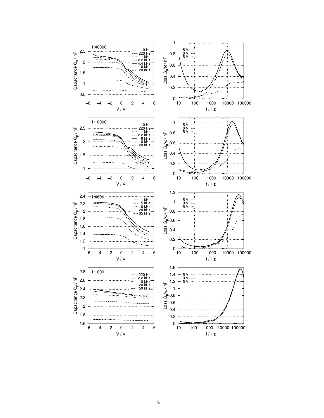